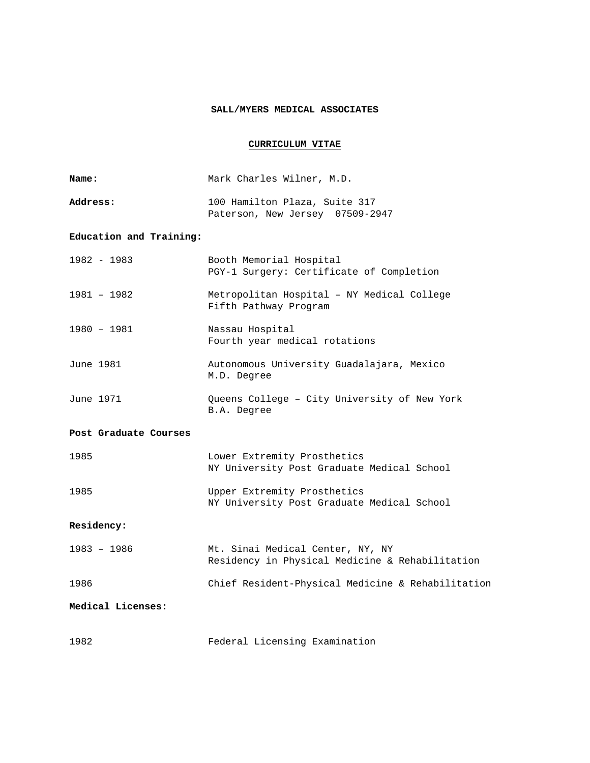## **SALL/MYERS MEDICAL ASSOCIATES**

## **CURRICULUM VITAE**

| Name:                   | Mark Charles Wilner, M.D.                                                           |
|-------------------------|-------------------------------------------------------------------------------------|
| Address:                | 100 Hamilton Plaza, Suite 317<br>Paterson, New Jersey 07509-2947                    |
| Education and Training: |                                                                                     |
| $1982 - 1983$           | Booth Memorial Hospital<br>PGY-1 Surgery: Certificate of Completion                 |
| $1981 - 1982$           | Metropolitan Hospital - NY Medical College<br>Fifth Pathway Program                 |
| $1980 - 1981$           | Nassau Hospital<br>Fourth year medical rotations                                    |
| June 1981               | Autonomous University Guadalajara, Mexico<br>M.D. Degree                            |
| June 1971               | Queens College - City University of New York<br>B.A. Degree                         |
| Post Graduate Courses   |                                                                                     |
| 1985                    | Lower Extremity Prosthetics<br>NY University Post Graduate Medical School           |
| 1985                    | Upper Extremity Prosthetics<br>NY University Post Graduate Medical School           |
| Residency:              |                                                                                     |
| $1983 - 1986$           | Mt. Sinai Medical Center, NY, NY<br>Residency in Physical Medicine & Rehabilitation |
| 1986                    | Chief Resident-Physical Medicine & Rehabilitation                                   |
| Medical Licenses:       |                                                                                     |
| 1982                    | Federal Licensing Examination                                                       |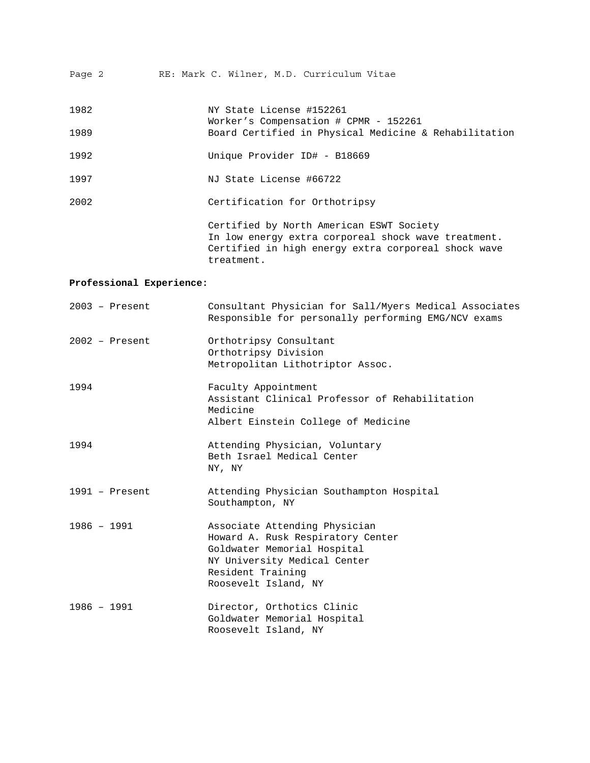| Page 2 |  | RE: Mark C. Wilner, M.D. Curriculum Vitae |
|--------|--|-------------------------------------------|
|--------|--|-------------------------------------------|

- 1982 NY State License #152261 Worker's Compensation # CPMR - 152261 1989 Board Certified in Physical Medicine & Rehabilitation
- 1992 Unique Provider ID# B18669
- 1997 NJ State License #66722
- 2002 Certification for Orthotripsy

 Certified by North American ESWT Society In low energy extra corporeal shock wave treatment. Certified in high energy extra corporeal shock wave treatment.

## **Professional Experience:**

2003 – Present Consultant Physician for Sall/Myers Medical Associates Responsible for personally performing EMG/NCV exams 2002 – Present Orthotripsy Consultant Orthotripsy Division Metropolitan Lithotriptor Assoc. 1994 **Faculty Appointment**  Assistant Clinical Professor of Rehabilitation Medicine Albert Einstein College of Medicine 1994 Attending Physician, Voluntary Beth Israel Medical Center NY, NY 1991 – Present Attending Physician Southampton Hospital Southampton, NY 1986 – 1991 Associate Attending Physician Howard A. Rusk Respiratory Center Goldwater Memorial Hospital NY University Medical Center Resident Training Roosevelt Island, NY 1986 – 1991 Director, Orthotics Clinic Goldwater Memorial Hospital

Roosevelt Island, NY